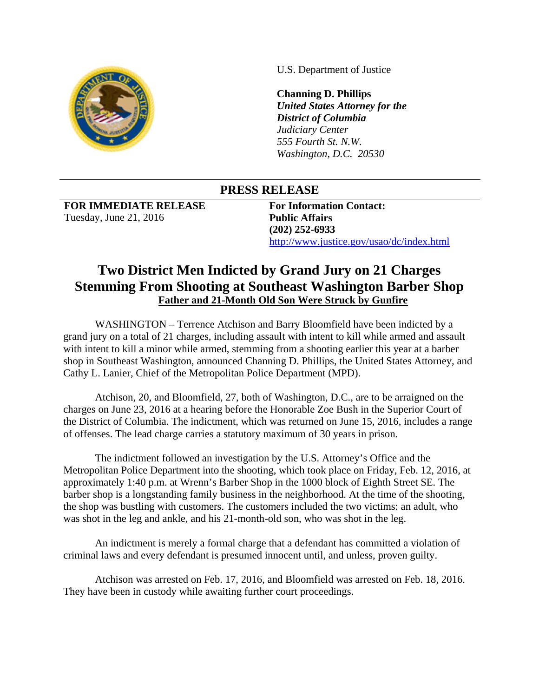

U.S. Department of Justice

**Channing D. Phillips**  *United States Attorney for the District of Columbia Judiciary Center 555 Fourth St. N.W. Washington, D.C. 20530*

## **PRESS RELEASE**

**FOR IMMEDIATE RELEASE**  Tuesday, June 21, 2016

**For Information Contact: Public Affairs (202) 252-6933**  http://www.justice.gov/usao/dc/index.html

## **Two District Men Indicted by Grand Jury on 21 Charges Stemming From Shooting at Southeast Washington Barber Shop Father and 21-Month Old Son Were Struck by Gunfire**

 WASHINGTON – Terrence Atchison and Barry Bloomfield have been indicted by a grand jury on a total of 21 charges, including assault with intent to kill while armed and assault with intent to kill a minor while armed, stemming from a shooting earlier this year at a barber shop in Southeast Washington, announced Channing D. Phillips, the United States Attorney, and Cathy L. Lanier, Chief of the Metropolitan Police Department (MPD).

 Atchison, 20, and Bloomfield, 27, both of Washington, D.C., are to be arraigned on the charges on June 23, 2016 at a hearing before the Honorable Zoe Bush in the Superior Court of the District of Columbia. The indictment, which was returned on June 15, 2016, includes a range of offenses. The lead charge carries a statutory maximum of 30 years in prison.

 The indictment followed an investigation by the U.S. Attorney's Office and the Metropolitan Police Department into the shooting, which took place on Friday, Feb. 12, 2016, at approximately 1:40 p.m. at Wrenn's Barber Shop in the 1000 block of Eighth Street SE. The barber shop is a longstanding family business in the neighborhood. At the time of the shooting, the shop was bustling with customers. The customers included the two victims: an adult, who was shot in the leg and ankle, and his 21-month-old son, who was shot in the leg.

 An indictment is merely a formal charge that a defendant has committed a violation of criminal laws and every defendant is presumed innocent until, and unless, proven guilty.

 Atchison was arrested on Feb. 17, 2016, and Bloomfield was arrested on Feb. 18, 2016. They have been in custody while awaiting further court proceedings.